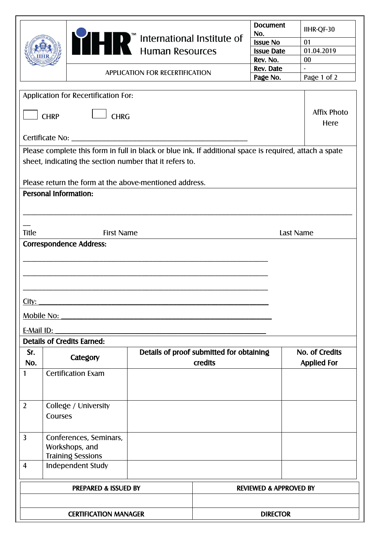|                |                              |                                      |                                                                                                         |                                          | <b>Document</b><br>No.            | IIHR-QF-30                 |
|----------------|------------------------------|--------------------------------------|---------------------------------------------------------------------------------------------------------|------------------------------------------|-----------------------------------|----------------------------|
|                |                              |                                      |                                                                                                         |                                          | <b>Issue No</b>                   | 01                         |
|                |                              |                                      |                                                                                                         |                                          | <b>Issue Date</b>                 | 01.04.2019                 |
|                |                              |                                      |                                                                                                         |                                          | Rev. No.                          | $00\,$                     |
|                |                              |                                      |                                                                                                         |                                          | Rev. Date                         |                            |
|                |                              |                                      | <b>APPLICATION FOR RECERTIFICATION</b>                                                                  |                                          | Page No.                          | Page 1 of 2                |
|                |                              | Application for Recertification For: |                                                                                                         |                                          |                                   |                            |
|                | <b>CHRP</b>                  | <b>CHRG</b>                          |                                                                                                         |                                          |                                   | <b>Affix Photo</b><br>Here |
|                |                              |                                      |                                                                                                         |                                          |                                   |                            |
|                |                              |                                      | Please complete this form in full in black or blue ink. If additional space is required, attach a spate |                                          |                                   |                            |
|                |                              |                                      | sheet, indicating the section number that it refers to.                                                 |                                          |                                   |                            |
|                |                              |                                      | Please return the form at the above-mentioned address.                                                  |                                          |                                   |                            |
|                | <b>Personal Information:</b> |                                      |                                                                                                         |                                          |                                   |                            |
|                |                              |                                      |                                                                                                         |                                          |                                   |                            |
|                |                              |                                      |                                                                                                         |                                          |                                   |                            |
| <b>Title</b>   |                              | <b>First Name</b>                    |                                                                                                         |                                          |                                   | Last Name                  |
|                |                              | <b>Correspondence Address:</b>       |                                                                                                         |                                          |                                   |                            |
|                |                              |                                      |                                                                                                         |                                          |                                   |                            |
|                |                              |                                      |                                                                                                         |                                          |                                   |                            |
|                |                              |                                      |                                                                                                         |                                          |                                   |                            |
|                |                              |                                      |                                                                                                         |                                          |                                   |                            |
| City:          |                              |                                      |                                                                                                         |                                          |                                   |                            |
|                | Mobile No:                   |                                      |                                                                                                         |                                          |                                   |                            |
| E-Mail ID:     |                              |                                      |                                                                                                         |                                          |                                   |                            |
|                |                              | <b>Details of Credits Earned:</b>    |                                                                                                         |                                          |                                   |                            |
| Sr.            |                              |                                      |                                                                                                         | Details of proof submitted for obtaining |                                   | No. of Credits             |
| No.            |                              | Category                             |                                                                                                         | credits                                  |                                   | <b>Applied For</b>         |
|                |                              | <b>Certification Exam</b>            |                                                                                                         |                                          |                                   |                            |
| 1              |                              |                                      |                                                                                                         |                                          |                                   |                            |
|                |                              |                                      |                                                                                                         |                                          |                                   |                            |
| $\overline{2}$ |                              | College / University                 |                                                                                                         |                                          |                                   |                            |
|                | Courses                      |                                      |                                                                                                         |                                          |                                   |                            |
|                |                              |                                      |                                                                                                         |                                          |                                   |                            |
| $\overline{3}$ |                              | Conferences, Seminars,               |                                                                                                         |                                          |                                   |                            |
|                |                              | Workshops, and                       |                                                                                                         |                                          |                                   |                            |
|                |                              | <b>Training Sessions</b>             |                                                                                                         |                                          |                                   |                            |
| $\overline{4}$ |                              | Independent Study                    |                                                                                                         |                                          |                                   |                            |
|                |                              | <b>PREPARED &amp; ISSUED BY</b>      |                                                                                                         |                                          |                                   |                            |
|                |                              |                                      |                                                                                                         |                                          | <b>REVIEWED &amp; APPROVED BY</b> |                            |
|                |                              |                                      |                                                                                                         |                                          |                                   |                            |
|                |                              | <b>CERTIFICATION MANAGER</b>         |                                                                                                         |                                          | <b>DIRECTOR</b>                   |                            |